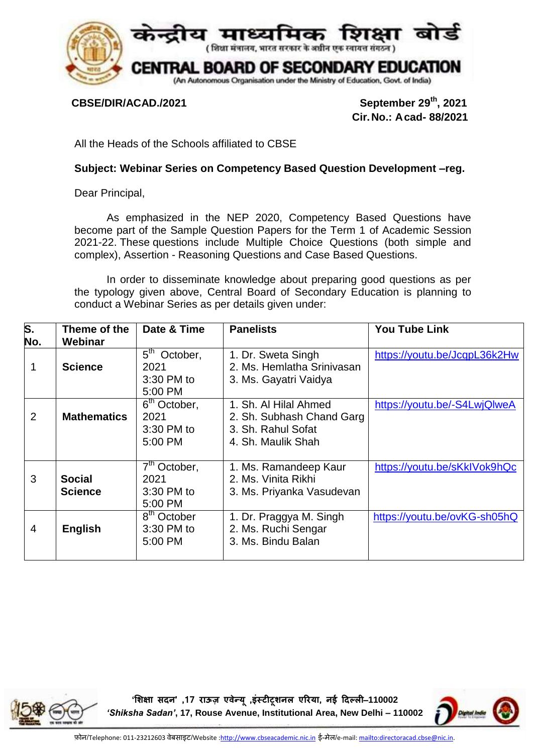

CBSE/DIR/ACAD./2021

September 29<sup>th</sup>, 2021  **Cir.No.: Acad- 88/2021**

All the Heads of the Schools affiliated to CBSE

## **Subject: Webinar Series on Competency Based Question Development –reg.**

Dear Principal,

As emphasized in the NEP 2020, Competency Based Questions have become part of the Sample Question Papers for the Term 1 of Academic Session 2021-22. These questions include Multiple Choice Questions (both simple and complex), Assertion - Reasoning Questions and Case Based Questions.

In order to disseminate knowledge about preparing good questions as per the typology given above, Central Board of Secondary Education is planning to conduct a Webinar Series as per details given under:

| S.<br>No.      | Theme of the<br>Webinar         | Date & Time                                               | <b>Panelists</b>                                                                               | <b>You Tube Link</b>         |
|----------------|---------------------------------|-----------------------------------------------------------|------------------------------------------------------------------------------------------------|------------------------------|
|                | <b>Science</b>                  | 5 <sup>th</sup> October,<br>2021<br>3:30 PM to<br>5:00 PM | 1. Dr. Sweta Singh<br>2. Ms. Hemlatha Srinivasan<br>3. Ms. Gayatri Vaidya                      | https://youtu.be/JcqpL36k2Hw |
| $\overline{2}$ | <b>Mathematics</b>              | 6 <sup>th</sup> October,<br>2021<br>3:30 PM to<br>5:00 PM | 1. Sh. Al Hilal Ahmed<br>2. Sh. Subhash Chand Garg<br>3. Sh. Rahul Sofat<br>4. Sh. Maulik Shah | https://youtu.be/-S4LwjQlweA |
| 3              | <b>Social</b><br><b>Science</b> | $7th$ October,<br>2021<br>3:30 PM to<br>5:00 PM           | 1. Ms. Ramandeep Kaur<br>2. Ms. Vinita Rikhi<br>3. Ms. Priyanka Vasudevan                      | https://youtu.be/sKkIVok9hQc |
| 4              | <b>English</b>                  | 8 <sup>th</sup> October<br>3:30 PM to<br>5:00 PM          | 1. Dr. Praggya M. Singh<br>2. Ms. Ruchi Sengar<br>3. Ms. Bindu Balan                           | https://youtu.be/ovKG-sh05hQ |

**'शिक्षा सदन' ,71 राऊज़ एवेन्य , ू इंस्टीटूिनल एररया, नई ददल्ली**–**110002**  *'Shiksha Sadan'***, 17, Rouse Avenue, Institutional Area, New Delhi – 110002**

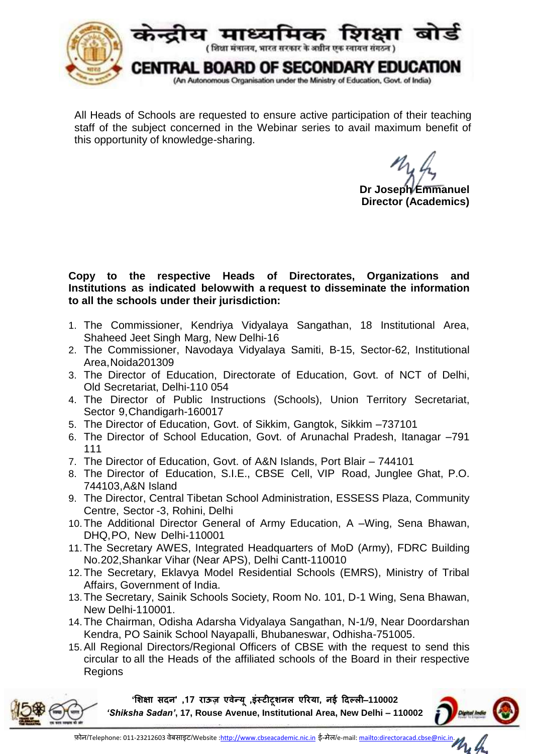

All Heads of Schools are requested to ensure active participation of their teaching staff of the subject concerned in the Webinar series to avail maximum benefit of this opportunity of knowledge-sharing.

**Dr Joseph Emmanuel Director (Academics)**

## **Copy to the respective Heads of Directorates, Organizations and Institutions as indicated belowwith a request to disseminate the information to all the schools under their jurisdiction:**

- 1. The Commissioner, Kendriya Vidyalaya Sangathan, 18 Institutional Area, Shaheed Jeet Singh Marg, New Delhi-16
- 2. The Commissioner, Navodaya Vidyalaya Samiti, B-15, Sector-62, Institutional Area,Noida201309
- 3. The Director of Education, Directorate of Education, Govt. of NCT of Delhi, Old Secretariat, Delhi-110 054
- 4. The Director of Public Instructions (Schools), Union Territory Secretariat, Sector 9,Chandigarh-160017
- 5. The Director of Education, Govt. of Sikkim, Gangtok, Sikkim –737101
- 6. The Director of School Education, Govt. of Arunachal Pradesh, Itanagar –791 111
- 7. The Director of Education, Govt. of A&N Islands, Port Blair 744101
- 8. The Director of Education, S.I.E., CBSE Cell, VIP Road, Junglee Ghat, P.O. 744103,A&N Island
- 9. The Director, Central Tibetan School Administration, ESSESS Plaza, Community Centre, Sector -3, Rohini, Delhi
- 10.The Additional Director General of Army Education, A –Wing, Sena Bhawan, DHQ,PO, New Delhi-110001
- 11.The Secretary AWES, Integrated Headquarters of MoD (Army), FDRC Building No.202,Shankar Vihar (Near APS), Delhi Cantt-110010
- 12.The Secretary, Eklavya Model Residential Schools (EMRS), Ministry of Tribal Affairs, Government of India.
- 13.The Secretary, Sainik Schools Society, Room No. 101, D-1 Wing, Sena Bhawan, New Delhi-110001.
- 14.The Chairman, Odisha Adarsha Vidyalaya Sangathan, N-1/9, Near Doordarshan Kendra, PO Sainik School Nayapalli, Bhubaneswar, Odhisha-751005.
- 15.All Regional Directors/Regional Officers of CBSE with the request to send this circular to all the Heads of the affiliated schools of the Board in their respective Regions

**'शिक्षा सदन' ,71 राऊज़ एवेन्य , ू इंस्टीटूिनल एररया, नई ददल्ली**–**110002**  *'Shiksha Sadan'***, 17, Rouse Avenue, Institutional Area, New Delhi – 110002**